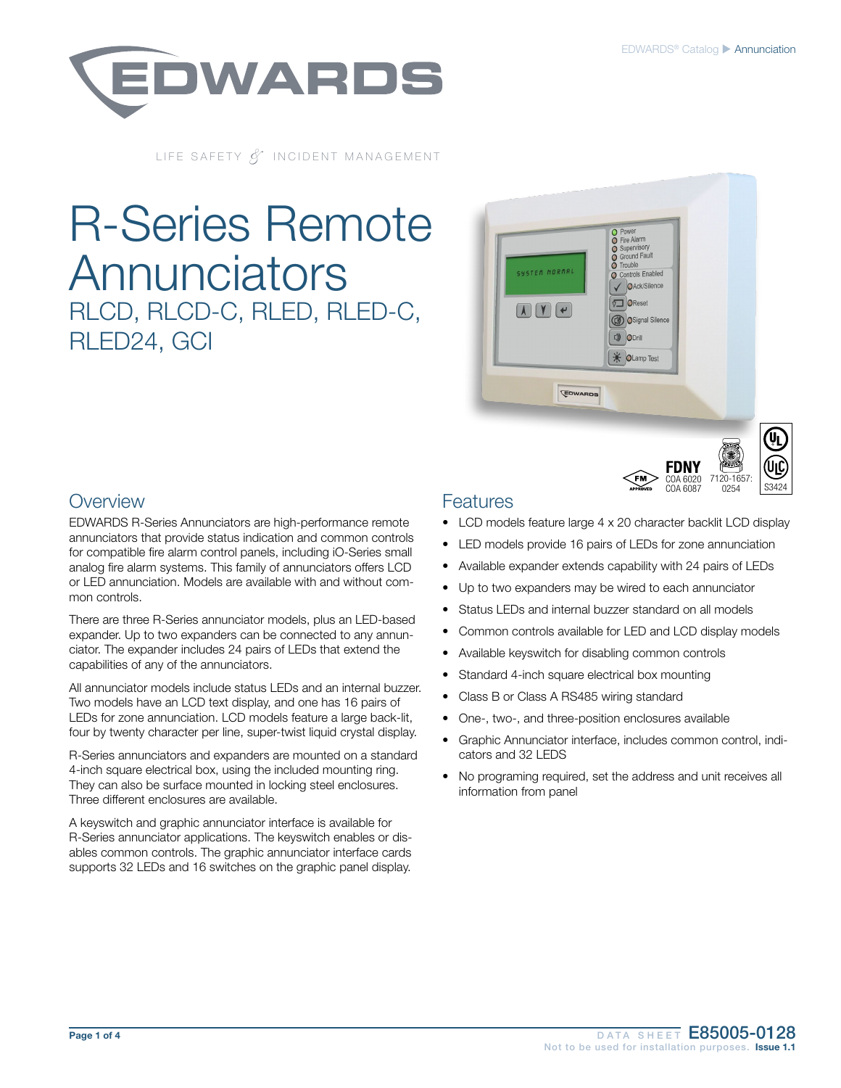7120-1657: 0254 S3424

COA 6020 COA 6087

**FDNY** 



LIFE SAFETY & INCIDENT MANAGEMENT

# R-Series Remote **Annunciators** RLCD, RLCD-C, RLED, RLED-C, RLED24, GCI



#### **Overview**

EDWARDS R-Series Annunciators are high-performance remote annunciators that provide status indication and common controls for compatible fire alarm control panels, including iO-Series small analog fire alarm systems. This family of annunciators offers LCD or LED annunciation. Models are available with and without common controls.

There are three R-Series annunciator models, plus an LED-based expander. Up to two expanders can be connected to any annunciator. The expander includes 24 pairs of LEDs that extend the capabilities of any of the annunciators.

All annunciator models include status LEDs and an internal buzzer. Two models have an LCD text display, and one has 16 pairs of LEDs for zone annunciation. LCD models feature a large back-lit, four by twenty character per line, super-twist liquid crystal display.

R-Series annunciators and expanders are mounted on a standard 4-inch square electrical box, using the included mounting ring. They can also be surface mounted in locking steel enclosures. Three different enclosures are available.

A keyswitch and graphic annunciator interface is available for R-Series annunciator applications. The keyswitch enables or disables common controls. The graphic annunciator interface cards supports 32 LEDs and 16 switches on the graphic panel display.

#### **Features**

- LCD models feature large 4 x 20 character backlit LCD display
- LED models provide 16 pairs of LEDs for zone annunciation
- Available expander extends capability with 24 pairs of LEDs
- Up to two expanders may be wired to each annunciator
- Status LEDs and internal buzzer standard on all models
- Common controls available for LED and LCD display models
- Available keyswitch for disabling common controls
- Standard 4-inch square electrical box mounting
- Class B or Class A RS485 wiring standard
- One-, two-, and three-position enclosures available
- Graphic Annunciator interface, includes common control, indicators and 32 LEDS
- No programing required, set the address and unit receives all information from panel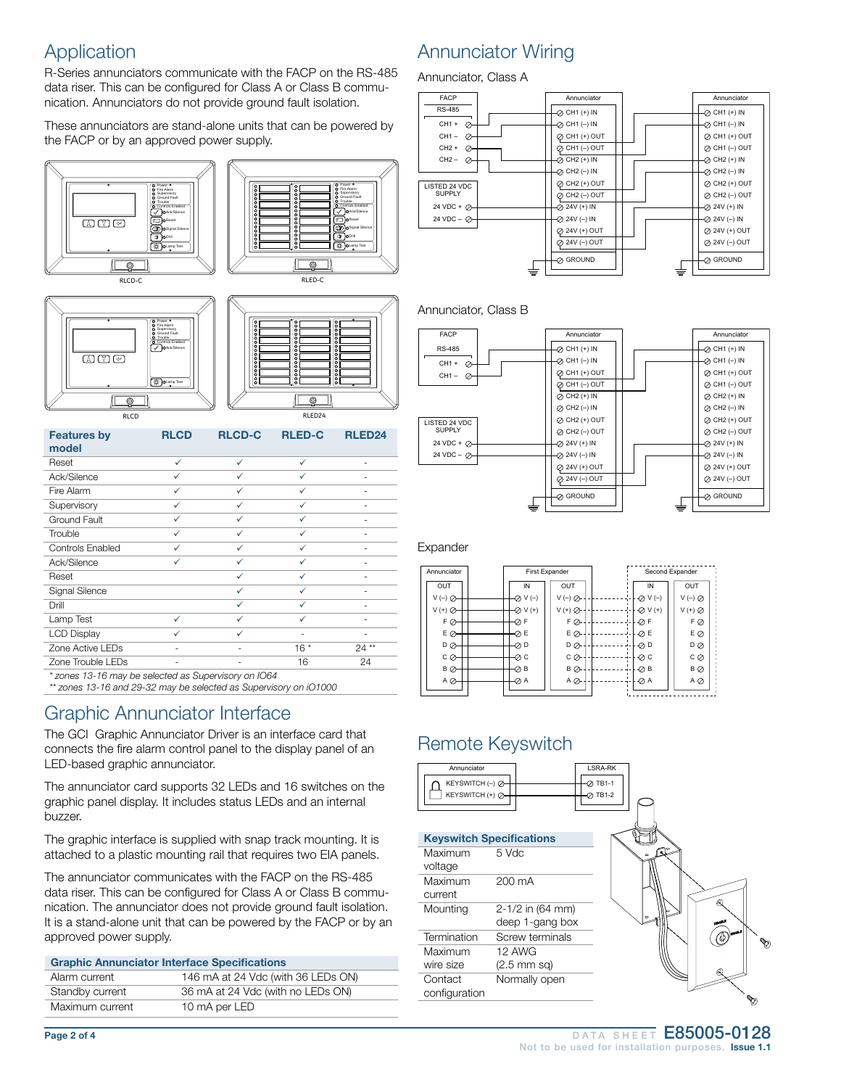### **Application**

R-Series annunciators communicate with the FACP on the RS-485 data riser. This can be configured for Class A or Class B communication. Annunciators do not provide ground fault isolation.

These annunciators are stand-alone units that can be powered by the FACP or by an approved power supply.



| ◉                                                     |              |               | ◉             |                    |
|-------------------------------------------------------|--------------|---------------|---------------|--------------------|
| <b>RLCD</b>                                           |              |               | RLED24        |                    |
| <b>Features by</b>                                    | <b>RLCD</b>  | <b>RLCD-C</b> | <b>RLED-C</b> | RLED <sub>24</sub> |
| model                                                 |              |               |               |                    |
| Reset                                                 | ✓            | $\checkmark$  | ✓             |                    |
| Ack/Silence                                           | ✓            | ✓             | ✓             |                    |
| Fire Alarm                                            | $\checkmark$ | ✓             | ✓             |                    |
| Supervisory                                           | ✓            | ✓             | ✓             |                    |
| Ground Fault                                          | ✓            | ✓             | ✓             |                    |
| Trouble                                               | ✓            | $\checkmark$  | ✓             |                    |
| Controls Enabled                                      | ✓            | ✓             | ✓             |                    |
| Ack/Silence                                           | ✓            | ✓             | ✓             |                    |
| Reset                                                 |              | ✓             | ✓             |                    |
| Signal Silence                                        |              | $\checkmark$  | ✓             |                    |
| Drill                                                 |              | ✓             | ✓             |                    |
| Lamp Test                                             | ✓            | ✓             | ✓             |                    |
| <b>LCD Display</b>                                    | ✓            | ✓             |               |                    |
| Zone Active LEDs                                      |              |               | $16*$         | $24**$             |
| Zone Trouble LEDs                                     |              |               | 16            | 24                 |
| * zonos 12, 16 may bo soloctod as Supervisory on IO61 |              |               |               |                    |

*\* zones 13-16 may be selected as Supervisory on IO64*<br>\*\* zones 13-16 and 29-32 may be selected as Supervis *\*\* zones 13-16 and 29-32 may be selected as Supervisory on iO1000*

#### Graphic Annunciator Interface

The GCI Graphic Annunciator Driver is an interface card that connects the fire alarm control panel to the display panel of an LED-based graphic annunciator.

The annunciator card supports 32 LEDs and 16 switches on the graphic panel display. It includes status LEDs and an internal buzzer.

The graphic interface is supplied with snap track mounting. It is attached to a plastic mounting rail that requires two EIA panels.

The annunciator communicates with the FACP on the RS-485 data riser. This can be configured for Class A or Class B communication. The annunciator does not provide ground fault isolation. It is a stand-alone unit that can be powered by the FACP or by an approved power supply.

| <b>Graphic Annunciator Interface Specifications</b> |                                    |  |
|-----------------------------------------------------|------------------------------------|--|
| Alarm current                                       | 146 mA at 24 Vdc (with 36 LEDs ON) |  |
| Standby current                                     | 36 mA at 24 Vdc (with no LEDs ON)  |  |
| Maximum current                                     | 10 mA per LED                      |  |

#### Annunciator Wiring

Annunciator, Class A



#### Annunciator, Class B



#### Expander

CH1 +



### Remote Keyswitch

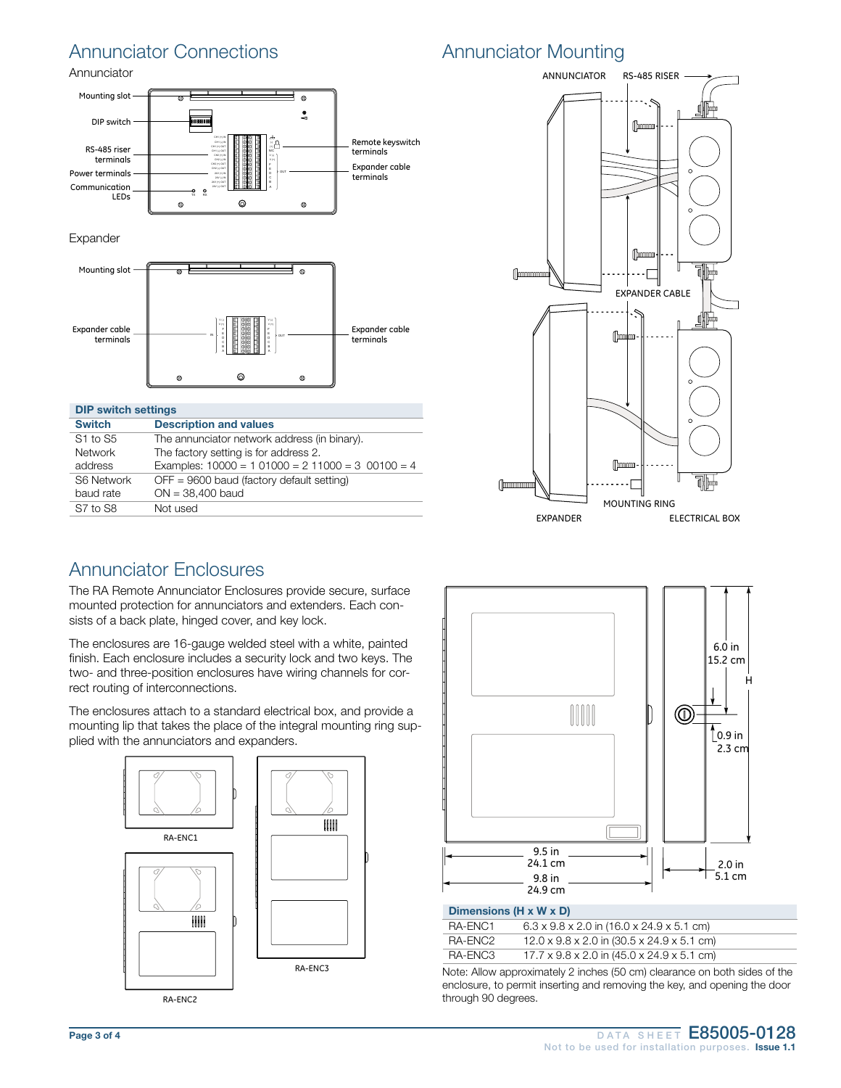### Annunciator Connections

Annunciator



Expander



| <b>DIP switch settings</b> |                                                  |  |  |
|----------------------------|--------------------------------------------------|--|--|
| <b>Switch</b>              | <b>Description and values</b>                    |  |  |
| S1 to S5                   | The annunciator network address (in binary).     |  |  |
| <b>Network</b>             | The factory setting is for address 2.            |  |  |
| address                    | Examples: $10000 = 101000 = 211000 = 300100 = 4$ |  |  |
| S6 Network                 | $OFF = 9600$ baud (factory default setting)      |  |  |
| baud rate                  | $ON = 38,400$ baud                               |  |  |
| S7 to S8                   | Not used                                         |  |  |

## Annunciator Mounting



#### Annunciator Enclosures

The RA Remote Annunciator Enclosures provide secure, surface mounted protection for annunciators and extenders. Each consists of a back plate, hinged cover, and key lock.

The enclosures are 16-gauge welded steel with a white, painted finish. Each enclosure includes a security lock and two keys. The two- and three-position enclosures have wiring channels for correct routing of interconnections.

The enclosures attach to a standard electrical box, and provide a mounting lip that takes the place of the integral mounting ring supplied with the annunciators and expanders.



RA-ENC2



#### Dimensions (H x W x D)

| RA-ENC1 | $6.3 \times 9.8 \times 2.0$ in $(16.0 \times 24.9 \times 5.1$ cm) |
|---------|-------------------------------------------------------------------|
| RA-ENC2 | $12.0 \times 9.8 \times 2.0$ in (30.5 x 24.9 x 5.1 cm)            |
| RA-ENC3 | $17.7 \times 9.8 \times 2.0$ in (45.0 x 24.9 x 5.1 cm)            |

Note: Allow approximately 2 inches (50 cm) clearance on both sides of the enclosure, to permit inserting and removing the key, and opening the door through 90 degrees.